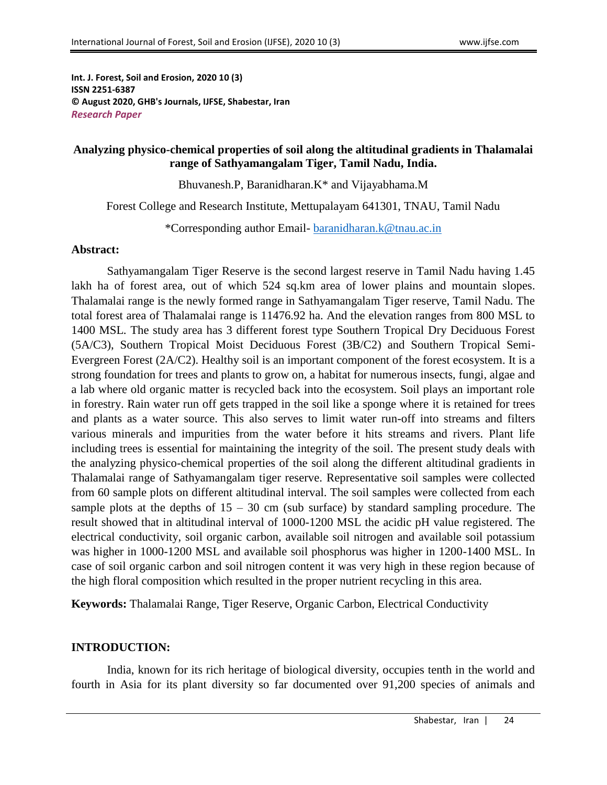**Int. J. Forest, Soil and Erosion, 2020 10 (3) ISSN 2251-6387 © August 2020, GHB's Journals, IJFSE, Shabestar, Iran** *Research Paper*

#### **Analyzing physico-chemical properties of soil along the altitudinal gradients in Thalamalai range of Sathyamangalam Tiger, Tamil Nadu, India.**

Bhuvanesh.P, Baranidharan.K\* and Vijayabhama.M

Forest College and Research Institute, Mettupalayam 641301, TNAU, Tamil Nadu

\*Corresponding author Email- [baranidharan.k@tnau.ac.in](mailto:baranidharan.k@tnau.ac.in)

#### **Abstract:**

Sathyamangalam Tiger Reserve is the second largest reserve in Tamil Nadu having 1.45 lakh ha of forest area, out of which 524 sq.km area of lower plains and mountain slopes. Thalamalai range is the newly formed range in Sathyamangalam Tiger reserve, Tamil Nadu. The total forest area of Thalamalai range is 11476.92 ha. And the elevation ranges from 800 MSL to 1400 MSL. The study area has 3 different forest type Southern Tropical Dry Deciduous Forest (5A/C3), Southern Tropical Moist Deciduous Forest (3B/C2) and Southern Tropical Semi-Evergreen Forest (2A/C2). Healthy soil is an important component of the forest ecosystem. It is a strong foundation for trees and plants to grow on, a habitat for numerous insects, fungi, algae and a lab where old organic matter is recycled back into the ecosystem. Soil plays an important role in forestry. Rain water run off gets trapped in the soil like a sponge where it is retained for trees and plants as a water source. This also serves to limit water run-off into streams and filters various minerals and impurities from the water before it hits streams and rivers. Plant life including trees is essential for maintaining the integrity of the soil. The present study deals with the analyzing physico-chemical properties of the soil along the different altitudinal gradients in Thalamalai range of Sathyamangalam tiger reserve. Representative soil samples were collected from 60 sample plots on different altitudinal interval. The soil samples were collected from each sample plots at the depths of  $15 - 30$  cm (sub surface) by standard sampling procedure. The result showed that in altitudinal interval of 1000-1200 MSL the acidic pH value registered. The electrical conductivity, soil organic carbon, available soil nitrogen and available soil potassium was higher in 1000-1200 MSL and available soil phosphorus was higher in 1200-1400 MSL. In case of soil organic carbon and soil nitrogen content it was very high in these region because of the high floral composition which resulted in the proper nutrient recycling in this area.

**Keywords:** Thalamalai Range, Tiger Reserve, Organic Carbon, Electrical Conductivity

#### **INTRODUCTION:**

India, known for its rich heritage of biological diversity, occupies tenth in the world and fourth in Asia for its plant diversity so far documented over 91,200 species of animals and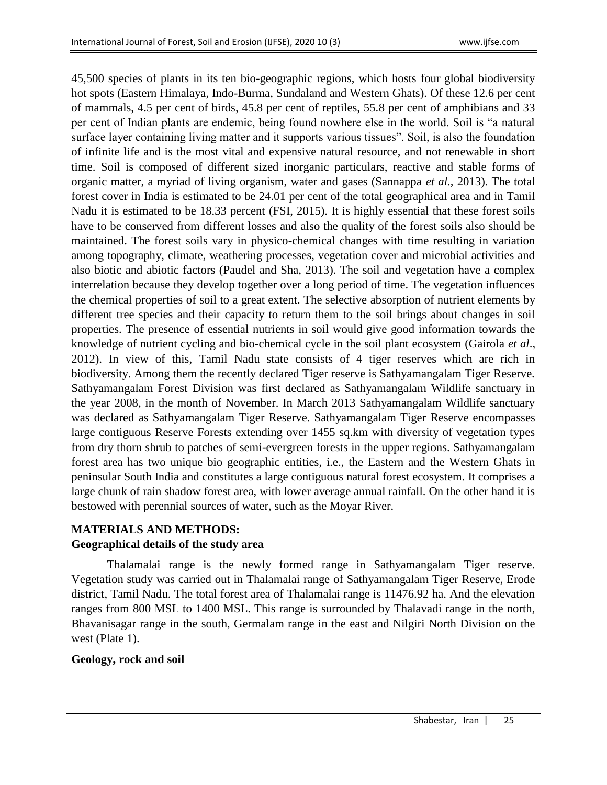45,500 species of plants in its ten bio-geographic regions, which hosts four global biodiversity hot spots (Eastern Himalaya, Indo-Burma, Sundaland and Western Ghats). Of these 12.6 per cent of mammals, 4.5 per cent of birds, 45.8 per cent of reptiles, 55.8 per cent of amphibians and 33 per cent of Indian plants are endemic, being found nowhere else in the world. Soil is "a natural surface layer containing living matter and it supports various tissues". Soil, is also the foundation of infinite life and is the most vital and expensive natural resource, and not renewable in short time. Soil is composed of different sized inorganic particulars, reactive and stable forms of organic matter, a myriad of living organism, water and gases (Sannappa *et al.,* 2013). The total forest cover in India is estimated to be 24.01 per cent of the total geographical area and in Tamil Nadu it is estimated to be 18.33 percent (FSI, 2015). It is highly essential that these forest soils have to be conserved from different losses and also the quality of the forest soils also should be maintained. The forest soils vary in physico-chemical changes with time resulting in variation among topography, climate, weathering processes, vegetation cover and microbial activities and also biotic and abiotic factors (Paudel and Sha, 2013). The soil and vegetation have a complex interrelation because they develop together over a long period of time. The vegetation influences the chemical properties of soil to a great extent. The selective absorption of nutrient elements by different tree species and their capacity to return them to the soil brings about changes in soil properties. The presence of essential nutrients in soil would give good information towards the knowledge of nutrient cycling and bio-chemical cycle in the soil plant ecosystem (Gairola *et al*., 2012). In view of this, Tamil Nadu state consists of 4 tiger reserves which are rich in biodiversity. Among them the recently declared Tiger reserve is Sathyamangalam Tiger Reserve. Sathyamangalam Forest Division was first declared as Sathyamangalam Wildlife sanctuary in the year 2008, in the month of November. In March 2013 Sathyamangalam Wildlife sanctuary was declared as Sathyamangalam Tiger Reserve. Sathyamangalam Tiger Reserve encompasses large contiguous Reserve Forests extending over 1455 sq.km with diversity of vegetation types from dry thorn shrub to patches of semi-evergreen forests in the upper regions. Sathyamangalam forest area has two unique bio geographic entities, i.e., the Eastern and the Western Ghats in peninsular South India and constitutes a large contiguous natural forest ecosystem. It comprises a large chunk of rain shadow forest area, with lower average annual rainfall. On the other hand it is bestowed with perennial sources of water, such as the Moyar River.

## **MATERIALS AND METHODS: Geographical details of the study area**

Thalamalai range is the newly formed range in Sathyamangalam Tiger reserve. Vegetation study was carried out in Thalamalai range of Sathyamangalam Tiger Reserve, Erode district, Tamil Nadu. The total forest area of Thalamalai range is 11476.92 ha. And the elevation ranges from 800 MSL to 1400 MSL. This range is surrounded by Thalavadi range in the north, Bhavanisagar range in the south, Germalam range in the east and Nilgiri North Division on the west (Plate 1).

# **Geology, rock and soil**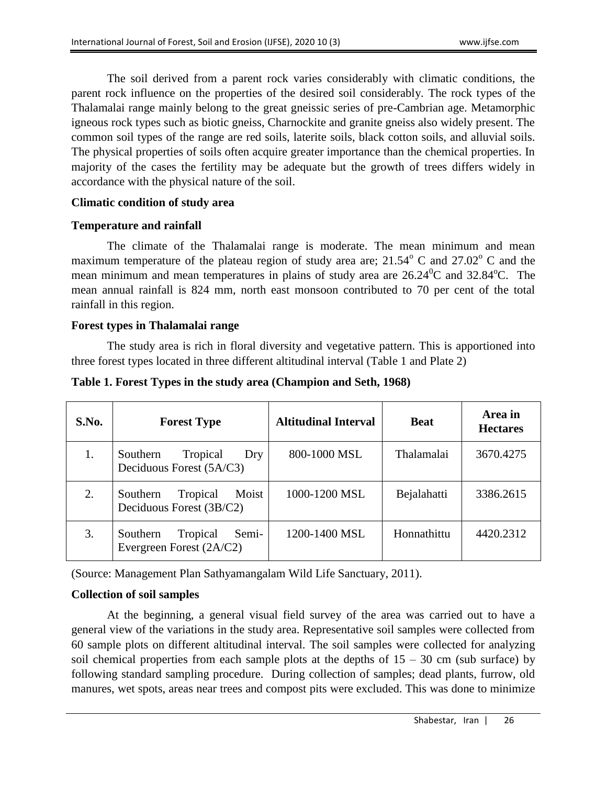The soil derived from a parent rock varies considerably with climatic conditions, the parent rock influence on the properties of the desired soil considerably. The rock types of the Thalamalai range mainly belong to the great gneissic series of pre-Cambrian age. Metamorphic igneous rock types such as biotic gneiss, Charnockite and granite gneiss also widely present. The common soil types of the range are red soils, laterite soils, black cotton soils, and alluvial soils. The physical properties of soils often acquire greater importance than the chemical properties. In majority of the cases the fertility may be adequate but the growth of trees differs widely in accordance with the physical nature of the soil.

### **Climatic condition of study area**

## **Temperature and rainfall**

The climate of the Thalamalai range is moderate. The mean minimum and mean maximum temperature of the plateau region of study area are;  $21.54^{\circ}$  C and  $27.02^{\circ}$  C and the mean minimum and mean temperatures in plains of study area are  $26.24\degree$ C and  $32.84\degree$ C. The mean annual rainfall is 824 mm, north east monsoon contributed to 70 per cent of the total rainfall in this region.

## **Forest types in Thalamalai range**

The study area is rich in floral diversity and vegetative pattern. This is apportioned into three forest types located in three different altitudinal interval (Table 1 and Plate 2)

| S.No. | <b>Forest Type</b>                                        | <b>Altitudinal Interval</b> | <b>Beat</b>       | Area in<br><b>Hectares</b> |
|-------|-----------------------------------------------------------|-----------------------------|-------------------|----------------------------|
| 1.    | Tropical<br>Southern<br>Dry<br>Deciduous Forest (5A/C3)   | 800-1000 MSL                | <b>Thalamalai</b> | 3670.4275                  |
| 2.    | Moist<br>Tropical<br>Southern<br>Deciduous Forest (3B/C2) | 1000-1200 MSL               | Bejalahatti       | 3386.2615                  |
| 3.    | Semi-<br>Southern<br>Tropical<br>Evergreen Forest (2A/C2) | 1200-1400 MSL               | Honnathittu       | 4420.2312                  |

### **Table 1. Forest Types in the study area (Champion and Seth, 1968)**

(Source: Management Plan Sathyamangalam Wild Life Sanctuary, 2011).

## **Collection of soil samples**

At the beginning, a general visual field survey of the area was carried out to have a general view of the variations in the study area. Representative soil samples were collected from 60 sample plots on different altitudinal interval. The soil samples were collected for analyzing soil chemical properties from each sample plots at the depths of  $15 - 30$  cm (sub surface) by following standard sampling procedure. During collection of samples; dead plants, furrow, old manures, wet spots, areas near trees and compost pits were excluded. This was done to minimize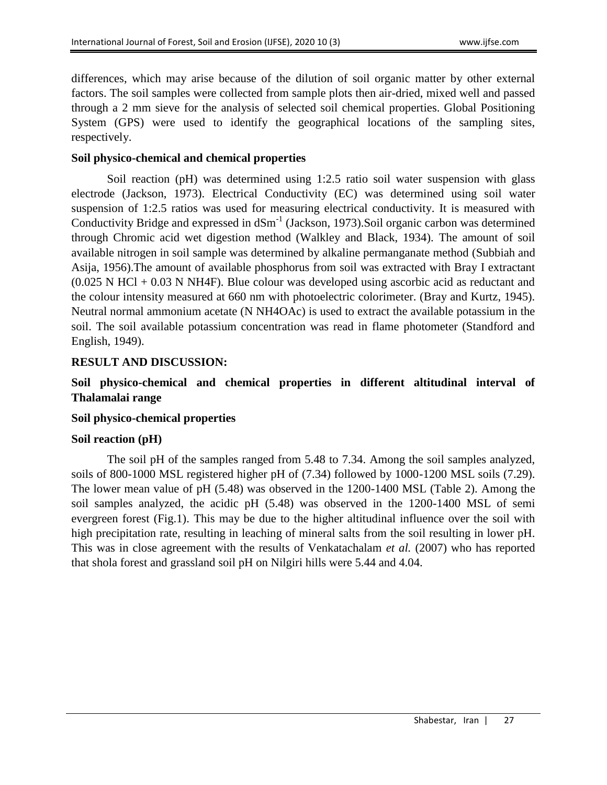differences, which may arise because of the dilution of soil organic matter by other external factors. The soil samples were collected from sample plots then air-dried, mixed well and passed through a 2 mm sieve for the analysis of selected soil chemical properties. Global Positioning System (GPS) were used to identify the geographical locations of the sampling sites, respectively.

### **Soil physico-chemical and chemical properties**

Soil reaction (pH) was determined using 1:2.5 ratio soil water suspension with glass electrode (Jackson, 1973). Electrical Conductivity (EC) was determined using soil water suspension of 1:2.5 ratios was used for measuring electrical conductivity. It is measured with Conductivity Bridge and expressed in  $dSm^{-1}$  (Jackson, 1973). Soil organic carbon was determined through Chromic acid wet digestion method (Walkley and Black, 1934). The amount of soil available nitrogen in soil sample was determined by alkaline permanganate method (Subbiah and Asija, 1956).The amount of available phosphorus from soil was extracted with Bray I extractant  $(0.025 \text{ N } HCl + 0.03 \text{ N } H4F)$ . Blue colour was developed using ascorbic acid as reductant and the colour intensity measured at 660 nm with photoelectric colorimeter. (Bray and Kurtz, 1945). Neutral normal ammonium acetate (N NH4OAc) is used to extract the available potassium in the soil. The soil available potassium concentration was read in flame photometer (Standford and English, 1949).

### **RESULT AND DISCUSSION:**

**Soil physico-chemical and chemical properties in different altitudinal interval of Thalamalai range**

### **Soil physico-chemical properties**

### **Soil reaction (pH)**

The soil pH of the samples ranged from 5.48 to 7.34. Among the soil samples analyzed, soils of 800-1000 MSL registered higher pH of (7.34) followed by 1000-1200 MSL soils (7.29). The lower mean value of pH (5.48) was observed in the 1200-1400 MSL (Table 2). Among the soil samples analyzed, the acidic pH (5.48) was observed in the 1200-1400 MSL of semi evergreen forest (Fig.1). This may be due to the higher altitudinal influence over the soil with high precipitation rate, resulting in leaching of mineral salts from the soil resulting in lower pH. This was in close agreement with the results of Venkatachalam *et al.* (2007) who has reported that shola forest and grassland soil pH on Nilgiri hills were 5.44 and 4.04.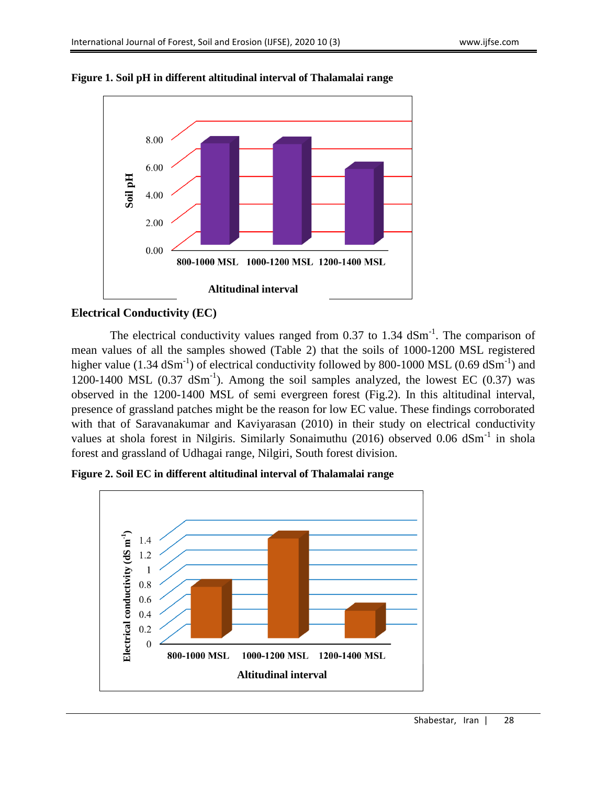

**Figure 1. Soil pH in different altitudinal interval of Thalamalai range**

## **Electrical Conductivity (EC)**

The electrical conductivity values ranged from 0.37 to 1.34  $dSm<sup>-1</sup>$ . The comparison of mean values of all the samples showed (Table 2) that the soils of 1000-1200 MSL registered higher value (1.34  $dSm^{-1}$ ) of electrical conductivity followed by 800-1000 MSL (0.69  $dSm^{-1}$ ) and 1200-1400 MSL  $(0.37 \text{ dSm}^{-1})$ . Among the soil samples analyzed, the lowest EC  $(0.37)$  was observed in the 1200-1400 MSL of semi evergreen forest (Fig.2). In this altitudinal interval, presence of grassland patches might be the reason for low EC value. These findings corroborated with that of Saravanakumar and Kaviyarasan (2010) in their study on electrical conductivity values at shola forest in Nilgiris. Similarly Sonaimuthu (2016) observed 0.06 dSm<sup>-1</sup> in shola forest and grassland of Udhagai range, Nilgiri, South forest division.



**Figure 2. Soil EC in different altitudinal interval of Thalamalai range**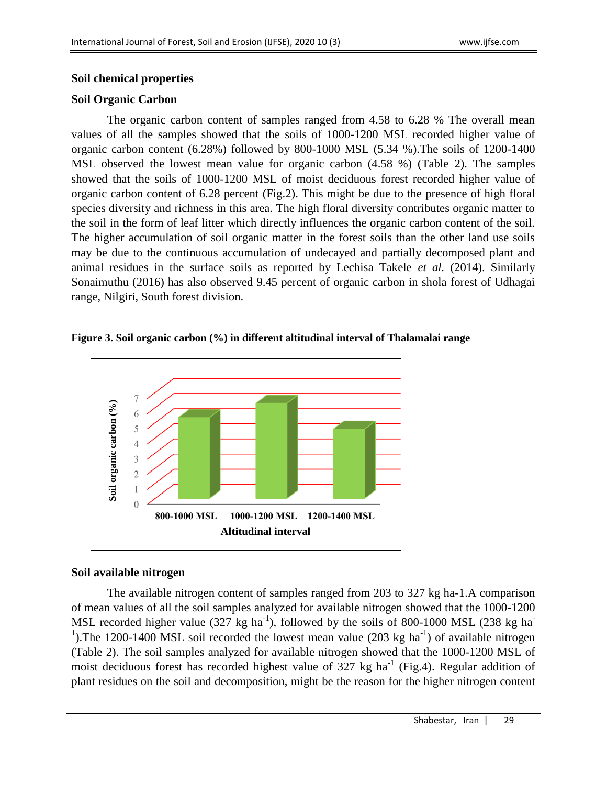#### **Soil chemical properties**

### **Soil Organic Carbon**

The organic carbon content of samples ranged from 4.58 to 6.28 % The overall mean values of all the samples showed that the soils of 1000-1200 MSL recorded higher value of organic carbon content (6.28%) followed by 800-1000 MSL (5.34 %).The soils of 1200-1400 MSL observed the lowest mean value for organic carbon (4.58 %) (Table 2). The samples showed that the soils of 1000-1200 MSL of moist deciduous forest recorded higher value of organic carbon content of 6.28 percent (Fig.2). This might be due to the presence of high floral species diversity and richness in this area. The high floral diversity contributes organic matter to the soil in the form of leaf litter which directly influences the organic carbon content of the soil. The higher accumulation of soil organic matter in the forest soils than the other land use soils may be due to the continuous accumulation of undecayed and partially decomposed plant and animal residues in the surface soils as reported by Lechisa Takele *et al.* (2014). Similarly Sonaimuthu (2016) has also observed 9.45 percent of organic carbon in shola forest of Udhagai range, Nilgiri, South forest division.

#### **Figure 3. Soil organic carbon (%) in different altitudinal interval of Thalamalai range**



### **Soil available nitrogen**

The available nitrogen content of samples ranged from 203 to 327 kg ha-1.A comparison of mean values of all the soil samples analyzed for available nitrogen showed that the 1000-1200 MSL recorded higher value (327 kg ha<sup>-1</sup>), followed by the soils of 800-1000 MSL (238 kg ha<sup>-1</sup>) <sup>1</sup>). The 1200-1400 MSL soil recorded the lowest mean value (203 kg ha<sup>-1</sup>) of available nitrogen (Table 2). The soil samples analyzed for available nitrogen showed that the 1000-1200 MSL of moist deciduous forest has recorded highest value of  $327 \text{ kg}$  ha<sup>-1</sup> (Fig.4). Regular addition of plant residues on the soil and decomposition, might be the reason for the higher nitrogen content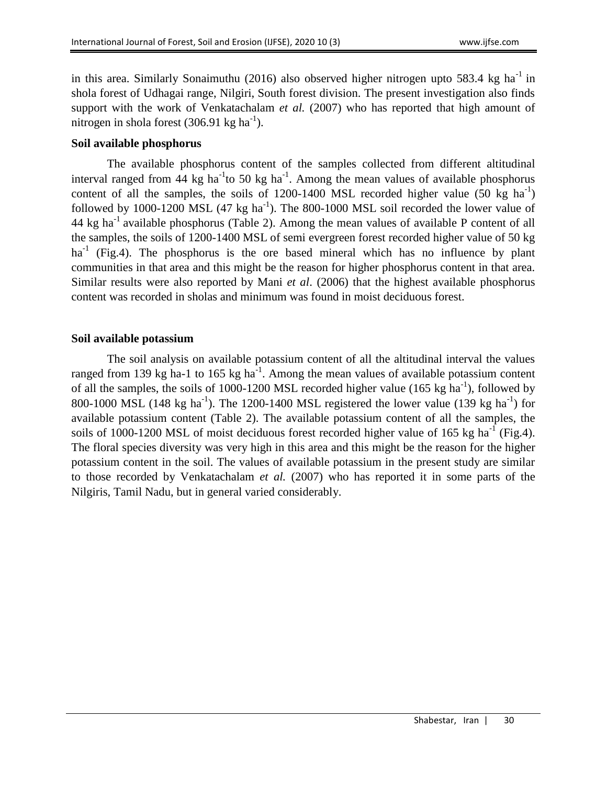in this area. Similarly Sonaimuthu (2016) also observed higher nitrogen upto 583.4 kg ha<sup>-1</sup> in shola forest of Udhagai range, Nilgiri, South forest division. The present investigation also finds support with the work of Venkatachalam *et al.* (2007) who has reported that high amount of nitrogen in shola forest (306.91 kg ha<sup>-1</sup>).

#### **Soil available phosphorus**

The available phosphorus content of the samples collected from different altitudinal interval ranged from 44 kg ha<sup>-1</sup> to 50 kg ha<sup>-1</sup>. Among the mean values of available phosphorus content of all the samples, the soils of  $1200-1400$  MSL recorded higher value (50 kg ha<sup>-1</sup>) followed by 1000-1200 MSL  $(47 \text{ kg ha}^{-1})$ . The 800-1000 MSL soil recorded the lower value of 44 kg ha<sup>-1</sup> available phosphorus (Table 2). Among the mean values of available P content of all the samples, the soils of 1200-1400 MSL of semi evergreen forest recorded higher value of 50 kg ha<sup>-1</sup> (Fig.4). The phosphorus is the ore based mineral which has no influence by plant communities in that area and this might be the reason for higher phosphorus content in that area. Similar results were also reported by Mani *et al*. (2006) that the highest available phosphorus content was recorded in sholas and minimum was found in moist deciduous forest.

#### **Soil available potassium**

The soil analysis on available potassium content of all the altitudinal interval the values ranged from 139 kg ha-1 to 165 kg ha<sup>-1</sup>. Among the mean values of available potassium content of all the samples, the soils of 1000-1200 MSL recorded higher value (165 kg ha<sup>-1</sup>), followed by 800-1000 MSL (148 kg ha<sup>-1</sup>). The 1200-1400 MSL registered the lower value (139 kg ha<sup>-1</sup>) for available potassium content (Table 2). The available potassium content of all the samples, the soils of 1000-1200 MSL of moist deciduous forest recorded higher value of 165 kg ha<sup>-1</sup> (Fig.4). The floral species diversity was very high in this area and this might be the reason for the higher potassium content in the soil. The values of available potassium in the present study are similar to those recorded by Venkatachalam *et al.* (2007) who has reported it in some parts of the Nilgiris, Tamil Nadu, but in general varied considerably.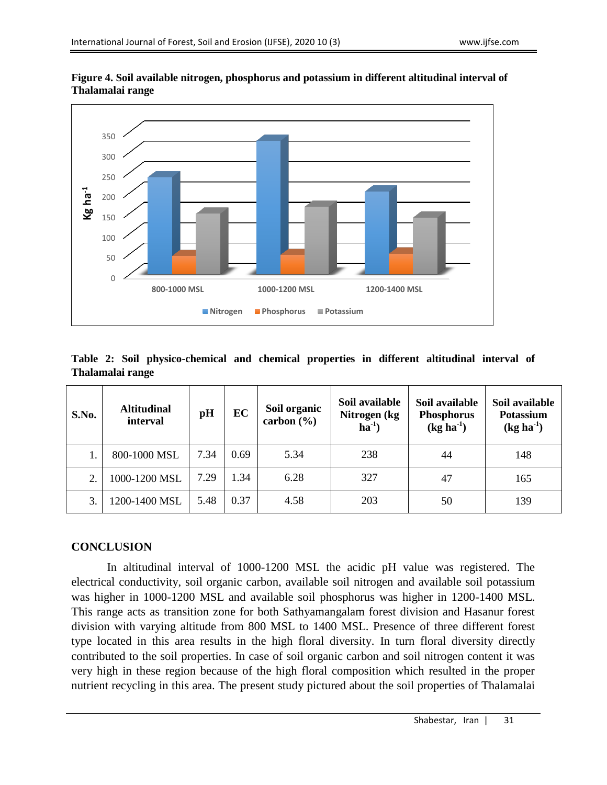

**Figure 4. Soil available nitrogen, phosphorus and potassium in different altitudinal interval of Thalamalai range**

**Table 2: Soil physico-chemical and chemical properties in different altitudinal interval of Thalamalai range**

| S.No. | <b>Altitudinal</b><br>interval | pH   | EC   | Soil organic<br>carbon $(\% )$ | Soil available<br>Nitrogen (kg<br>$ha^{-1}$ | Soil available<br><b>Phosphorus</b><br>$(kg ha-1)$ | Soil available<br>Potassium<br>$(kg ha-1)$ |
|-------|--------------------------------|------|------|--------------------------------|---------------------------------------------|----------------------------------------------------|--------------------------------------------|
|       | 800-1000 MSL                   | 7.34 | 0.69 | 5.34                           | 238                                         | 44                                                 | 148                                        |
| 2.    | 1000-1200 MSL                  | 7.29 | 1.34 | 6.28                           | 327                                         | 47                                                 | 165                                        |
| 3.    | 1200-1400 MSL                  | 5.48 | 0.37 | 4.58                           | 203                                         | 50                                                 | 139                                        |

### **CONCLUSION**

In altitudinal interval of 1000-1200 MSL the acidic pH value was registered. The electrical conductivity, soil organic carbon, available soil nitrogen and available soil potassium was higher in 1000-1200 MSL and available soil phosphorus was higher in 1200-1400 MSL. This range acts as transition zone for both Sathyamangalam forest division and Hasanur forest division with varying altitude from 800 MSL to 1400 MSL. Presence of three different forest type located in this area results in the high floral diversity. In turn floral diversity directly contributed to the soil properties. In case of soil organic carbon and soil nitrogen content it was very high in these region because of the high floral composition which resulted in the proper nutrient recycling in this area. The present study pictured about the soil properties of Thalamalai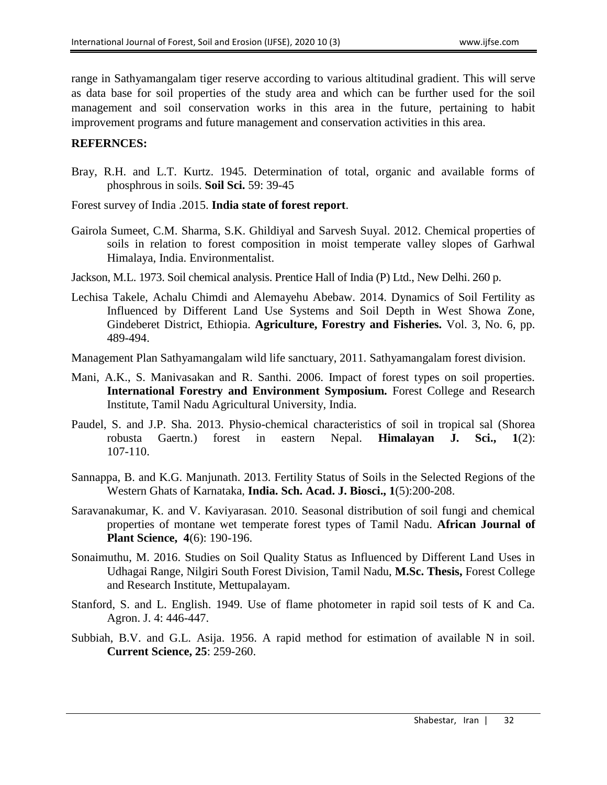range in Sathyamangalam tiger reserve according to various altitudinal gradient. This will serve as data base for soil properties of the study area and which can be further used for the soil management and soil conservation works in this area in the future, pertaining to habit improvement programs and future management and conservation activities in this area.

#### **REFERNCES:**

- Bray, R.H. and L.T. Kurtz. 1945. Determination of total, organic and available forms of phosphrous in soils. **Soil Sci.** 59: 39-45
- Forest survey of India .2015. **India state of forest report**.
- Gairola Sumeet, C.M. Sharma, S.K. Ghildiyal and Sarvesh Suyal. 2012. Chemical properties of soils in relation to forest composition in moist temperate valley slopes of Garhwal Himalaya, India. Environmentalist.
- Jackson, M.L. 1973. Soil chemical analysis. Prentice Hall of India (P) Ltd., New Delhi. 260 p.
- Lechisa Takele, Achalu Chimdi and Alemayehu Abebaw. 2014. Dynamics of Soil Fertility as Influenced by Different Land Use Systems and Soil Depth in West Showa Zone, Gindeberet District, Ethiopia. **Agriculture, Forestry and Fisheries.** Vol. 3, No. 6, pp. 489-494.
- Management Plan Sathyamangalam wild life sanctuary, 2011. Sathyamangalam forest division.
- Mani, A.K., S. Manivasakan and R. Santhi. 2006. Impact of forest types on soil properties. **International Forestry and Environment Symposium.** Forest College and Research Institute, Tamil Nadu Agricultural University, India.
- Paudel, S. and J.P. Sha. 2013. Physio-chemical characteristics of soil in tropical sal (Shorea robusta Gaertn.) forest in eastern Nepal. **Himalayan J. Sci., 1**(2): 107-110.
- Sannappa, B. and K.G. Manjunath. 2013. Fertility Status of Soils in the Selected Regions of the Western Ghats of Karnataka, **India. Sch. Acad. J. Biosci., 1**(5):200-208.
- Saravanakumar, K. and V. Kaviyarasan. 2010. Seasonal distribution of soil fungi and chemical properties of montane wet temperate forest types of Tamil Nadu. **African Journal of Plant Science, 4**(6): 190-196.
- Sonaimuthu, M. 2016. Studies on Soil Quality Status as Influenced by Different Land Uses in Udhagai Range, Nilgiri South Forest Division, Tamil Nadu, **M.Sc. Thesis,** Forest College and Research Institute, Mettupalayam.
- Stanford, S. and L. English. 1949. Use of flame photometer in rapid soil tests of K and Ca. Agron. J. 4: 446-447.
- Subbiah, B.V. and G.L. Asija. 1956. A rapid method for estimation of available N in soil. **Current Science, 25**: 259-260.